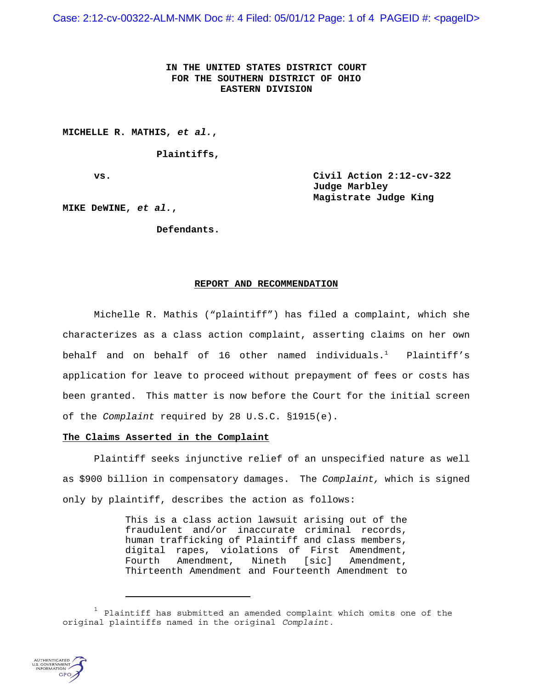Case: 2:12-cv-00322-ALM-NMK Doc #: 4 Filed: 05/01/12 Page: 1 of 4 PAGEID #: <pageID>

**IN THE UNITED STATES DISTRICT COURT FOR THE SOUTHERN DISTRICT OF OHIO EASTERN DIVISION**

**MICHELLE R. MATHIS,** *et al.***,**

**Plaintiffs,**

**vs. Civil Action 2:12-cv-322 Judge Marbley Magistrate Judge King**

**MIKE DeWINE,** *et al.***,**

**Defendants.**

## **REPORT AND RECOMMENDATION**

Michelle R. Mathis ("plaintiff") has filed a complaint, which she characterizes as a class action complaint, asserting claims on her own behalf and on behalf of 16 other named individuals.<sup>1</sup> Plaintiff's application for leave to proceed without prepayment of fees or costs has been granted. This matter is now before the Court for the initial screen of the *Complaint* required by 28 U.S.C. §1915(e).

## **The Claims Asserted in the Complaint**

Plaintiff seeks injunctive relief of an unspecified nature as well as \$900 billion in compensatory damages. The *Complaint,* which is signed only by plaintiff, describes the action as follows:

> This is a class action lawsuit arising out of the fraudulent and/or inaccurate criminal records, human trafficking of Plaintiff and class members, digital rapes, violations of First Amendment,<br>Fourth Amendment, Nineth [sic] Amendment, Fourth Amendment, Nineth [sic] Amendment, Thirteenth Amendment and Fourteenth Amendment to

 $1$  Plaintiff has submitted an amended complaint which omits one of the original plaintiffs named in the original *Complaint*.

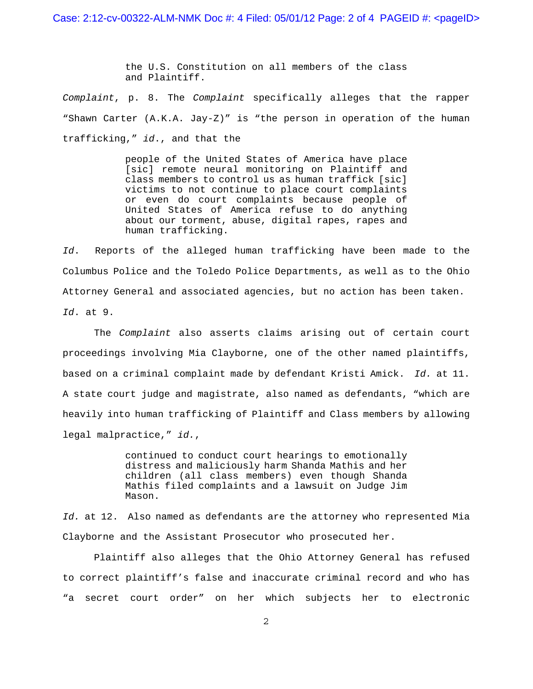the U.S. Constitution on all members of the class and Plaintiff.

*Complaint*, p. 8. The *Complaint* specifically alleges that the rapper "Shawn Carter (A.K.A. Jay-Z)" is "the person in operation of the human trafficking," *id*., and that the

> people of the United States of America have place [sic] remote neural monitoring on Plaintiff and class members to control us as human traffick [sic] victims to not continue to place court complaints or even do court complaints because people of United States of America refuse to do anything about our torment, abuse, digital rapes, rapes and human trafficking.

*Id*. Reports of the alleged human trafficking have been made to the Columbus Police and the Toledo Police Departments, as well as to the Ohio Attorney General and associated agencies, but no action has been taken. *Id*. at 9.

The *Complaint* also asserts claims arising out of certain court proceedings involving Mia Clayborne, one of the other named plaintiffs, based on a criminal complaint made by defendant Kristi Amick. *Id.* at 11. A state court judge and magistrate, also named as defendants, "which are heavily into human trafficking of Plaintiff and Class members by allowing legal malpractice," *id.*,

> continued to conduct court hearings to emotionally distress and maliciously harm Shanda Mathis and her children (all class members) even though Shanda Mathis filed complaints and a lawsuit on Judge Jim Mason.

*Id.* at 12. Also named as defendants are the attorney who represented Mia Clayborne and the Assistant Prosecutor who prosecuted her.

Plaintiff also alleges that the Ohio Attorney General has refused to correct plaintiff's false and inaccurate criminal record and who has "a secret court order" on her which subjects her to electronic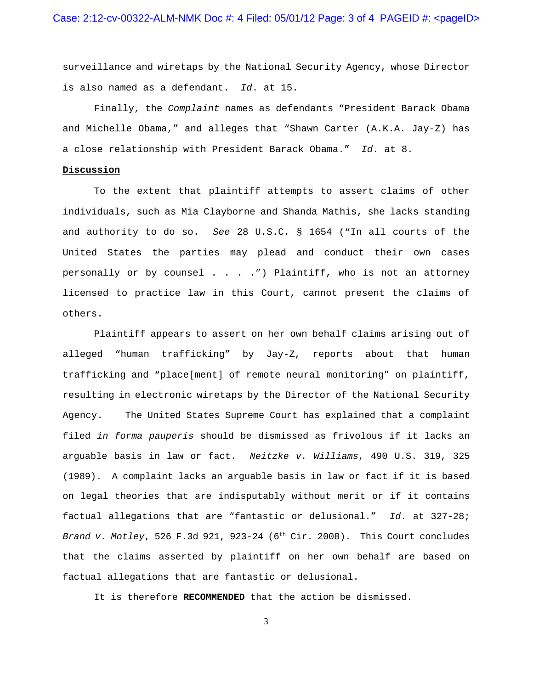surveillance and wiretaps by the National Security Agency, whose Director is also named as a defendant. *Id*. at 15.

Finally, the *Complaint* names as defendants "President Barack Obama and Michelle Obama," and alleges that "Shawn Carter (A.K.A. Jay-Z) has a close relationship with President Barack Obama." *Id*. at 8.

## **Discussion**

To the extent that plaintiff attempts to assert claims of other individuals, such as Mia Clayborne and Shanda Mathis, she lacks standing and authority to do so. *See* 28 U.S.C. § 1654 ("In all courts of the United States the parties may plead and conduct their own cases personally or by counsel . . . . ") Plaintiff, who is not an attorney licensed to practice law in this Court, cannot present the claims of others.

Plaintiff appears to assert on her own behalf claims arising out of alleged "human trafficking" by Jay-Z, reports about that human trafficking and "place[ment] of remote neural monitoring" on plaintiff, resulting in electronic wiretaps by the Director of the National Security Agency. The United States Supreme Court has explained that a complaint filed *in forma pauperis* should be dismissed as frivolous if it lacks an arguable basis in law or fact. *Neitzke v. Williams*, 490 U.S. 319, 325 (1989). A complaint lacks an arguable basis in law or fact if it is based on legal theories that are indisputably without merit or if it contains factual allegations that are "fantastic or delusional." *Id*. at 327-28; *Brand v. Motley*, 526 F.3d 921, 923-24 (6th Cir. 2008). This Court concludes that the claims asserted by plaintiff on her own behalf are based on factual allegations that are fantastic or delusional.

It is therefore **RECOMMENDED** that the action be dismissed.

3